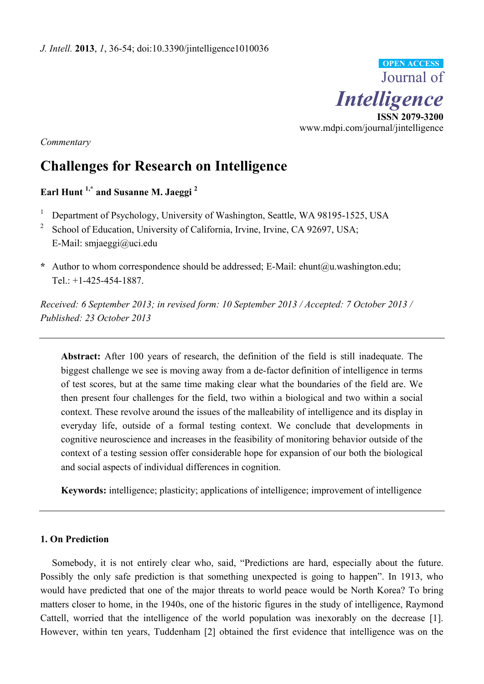

*Commentary*

# **Challenges for Research on Intelligence**

# **Earl Hunt 1,\* and Susanne M. Jaeggi <sup>2</sup>**

- <sup>1</sup> Department of Psychology, University of Washington, Seattle, WA 98195-1525, USA
- <sup>2</sup> School of Education, University of California, Irvine, Irvine, CA 92697, USA; E-Mail: smjaeggi@uci.edu
- **\*** Author to whom correspondence should be addressed; E-Mail: ehunt@u.washington.edu; Tel.: +1-425-454-1887.

*Received: 6 September 2013; in revised form: 10 September 2013 / Accepted: 7 October 2013 / Published: 23 October 2013*

**Abstract:** After 100 years of research, the definition of the field is still inadequate. The biggest challenge we see is moving away from a de-factor definition of intelligence in terms of test scores, but at the same time making clear what the boundaries of the field are. We then present four challenges for the field, two within a biological and two within a social context. These revolve around the issues of the malleability of intelligence and its display in everyday life, outside of a formal testing context. We conclude that developments in cognitive neuroscience and increases in the feasibility of monitoring behavior outside of the context of a testing session offer considerable hope for expansion of our both the biological and social aspects of individual differences in cognition.

**Keywords:** intelligence; plasticity; applications of intelligence; improvement of intelligence

# **1. On Prediction**

Somebody, it is not entirely clear who, said, "Predictions are hard, especially about the future. Possibly the only safe prediction is that something unexpected is going to happen". In 1913, who would have predicted that one of the major threats to world peace would be North Korea? To bring matters closer to home, in the 1940s, one of the historic figures in the study of intelligence, Raymond Cattell, worried that the intelligence of the world population was inexorably on the decrease [1]. However, within ten years, Tuddenham [2] obtained the first evidence that intelligence was on the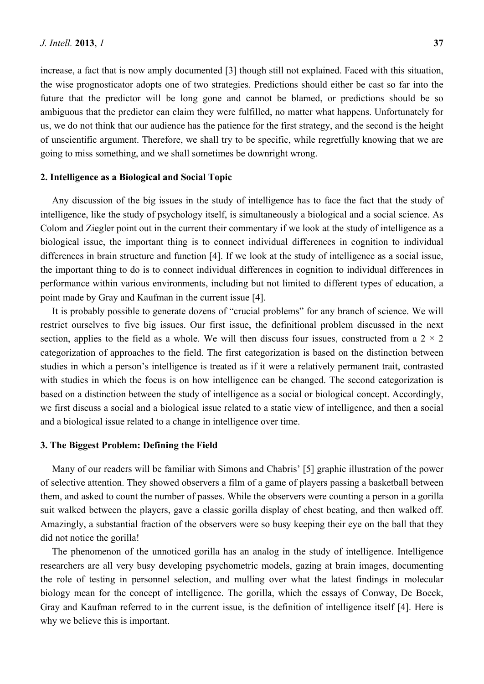increase, a fact that is now amply documented [3] though still not explained. Faced with this situation, the wise prognosticator adopts one of two strategies. Predictions should either be cast so far into the future that the predictor will be long gone and cannot be blamed, or predictions should be so ambiguous that the predictor can claim they were fulfilled, no matter what happens. Unfortunately for us, we do not think that our audience has the patience for the first strategy, and the second is the height of unscientific argument. Therefore, we shall try to be specific, while regretfully knowing that we are going to miss something, and we shall sometimes be downright wrong.

# **2. Intelligence as a Biological and Social Topic**

Any discussion of the big issues in the study of intelligence has to face the fact that the study of intelligence, like the study of psychology itself, is simultaneously a biological and a social science. As Colom and Ziegler point out in the current their commentary if we look at the study of intelligence as a biological issue, the important thing is to connect individual differences in cognition to individual differences in brain structure and function [4]. If we look at the study of intelligence as a social issue, the important thing to do is to connect individual differences in cognition to individual differences in performance within various environments, including but not limited to different types of education, a point made by Gray and Kaufman in the current issue [4].

It is probably possible to generate dozens of "crucial problems" for any branch of science. We will restrict ourselves to five big issues. Our first issue, the definitional problem discussed in the next section, applies to the field as a whole. We will then discuss four issues, constructed from a  $2 \times 2$ categorization of approaches to the field. The first categorization is based on the distinction between studies in which a person's intelligence is treated as if it were a relatively permanent trait, contrasted with studies in which the focus is on how intelligence can be changed. The second categorization is based on a distinction between the study of intelligence as a social or biological concept. Accordingly, we first discuss a social and a biological issue related to a static view of intelligence, and then a social and a biological issue related to a change in intelligence over time.

#### **3. The Biggest Problem: Defining the Field**

Many of our readers will be familiar with Simons and Chabris' [5] graphic illustration of the power of selective attention. They showed observers a film of a game of players passing a basketball between them, and asked to count the number of passes. While the observers were counting a person in a gorilla suit walked between the players, gave a classic gorilla display of chest beating, and then walked off. Amazingly, a substantial fraction of the observers were so busy keeping their eye on the ball that they did not notice the gorilla!

The phenomenon of the unnoticed gorilla has an analog in the study of intelligence. Intelligence researchers are all very busy developing psychometric models, gazing at brain images, documenting the role of testing in personnel selection, and mulling over what the latest findings in molecular biology mean for the concept of intelligence. The gorilla, which the essays of Conway, De Boeck, Gray and Kaufman referred to in the current issue, is the definition of intelligence itself [4]. Here is why we believe this is important.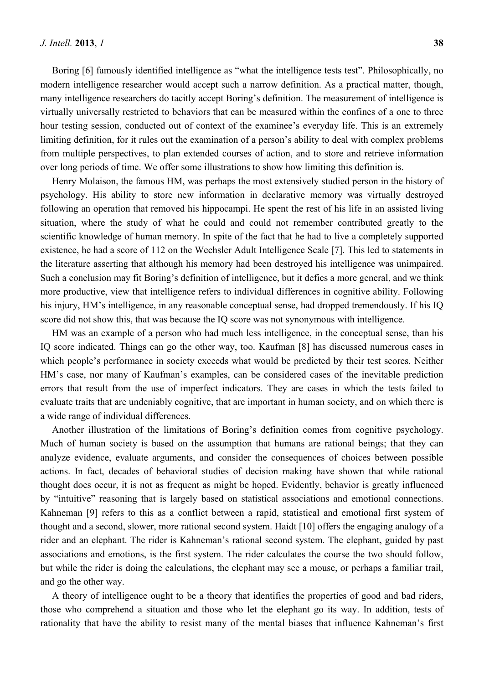Boring [6] famously identified intelligence as "what the intelligence tests test". Philosophically, no modern intelligence researcher would accept such a narrow definition. As a practical matter, though, many intelligence researchers do tacitly accept Boring's definition. The measurement of intelligence is virtually universally restricted to behaviors that can be measured within the confines of a one to three hour testing session, conducted out of context of the examinee's everyday life. This is an extremely limiting definition, for it rules out the examination of a person's ability to deal with complex problems from multiple perspectives, to plan extended courses of action, and to store and retrieve information over long periods of time. We offer some illustrations to show how limiting this definition is.

Henry Molaison, the famous HM, was perhaps the most extensively studied person in the history of psychology. His ability to store new information in declarative memory was virtually destroyed following an operation that removed his hippocampi. He spent the rest of his life in an assisted living situation, where the study of what he could and could not remember contributed greatly to the scientific knowledge of human memory. In spite of the fact that he had to live a completely supported existence, he had a score of 112 on the Wechsler Adult Intelligence Scale [7]. This led to statements in the literature asserting that although his memory had been destroyed his intelligence was unimpaired. Such a conclusion may fit Boring's definition of intelligence, but it defies a more general, and we think more productive, view that intelligence refers to individual differences in cognitive ability. Following his injury, HM's intelligence, in any reasonable conceptual sense, had dropped tremendously. If his IQ score did not show this, that was because the IQ score was not synonymous with intelligence.

HM was an example of a person who had much less intelligence, in the conceptual sense, than his IQ score indicated. Things can go the other way, too. Kaufman [8] has discussed numerous cases in which people's performance in society exceeds what would be predicted by their test scores. Neither HM's case, nor many of Kaufman's examples, can be considered cases of the inevitable prediction errors that result from the use of imperfect indicators. They are cases in which the tests failed to evaluate traits that are undeniably cognitive, that are important in human society, and on which there is a wide range of individual differences.

Another illustration of the limitations of Boring's definition comes from cognitive psychology. Much of human society is based on the assumption that humans are rational beings; that they can analyze evidence, evaluate arguments, and consider the consequences of choices between possible actions. In fact, decades of behavioral studies of decision making have shown that while rational thought does occur, it is not as frequent as might be hoped. Evidently, behavior is greatly influenced by "intuitive" reasoning that is largely based on statistical associations and emotional connections. Kahneman [9] refers to this as a conflict between a rapid, statistical and emotional first system of thought and a second, slower, more rational second system. Haidt [10] offers the engaging analogy of a rider and an elephant. The rider is Kahneman's rational second system. The elephant, guided by past associations and emotions, is the first system. The rider calculates the course the two should follow, but while the rider is doing the calculations, the elephant may see a mouse, or perhaps a familiar trail, and go the other way.

A theory of intelligence ought to be a theory that identifies the properties of good and bad riders, those who comprehend a situation and those who let the elephant go its way. In addition, tests of rationality that have the ability to resist many of the mental biases that influence Kahneman's first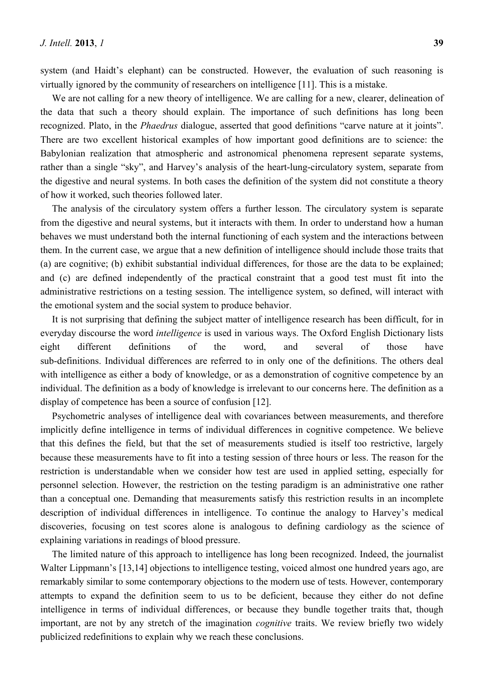system (and Haidt's elephant) can be constructed. However, the evaluation of such reasoning is virtually ignored by the community of researchers on intelligence [11]. This is a mistake.

We are not calling for a new theory of intelligence. We are calling for a new, clearer, delineation of the data that such a theory should explain. The importance of such definitions has long been recognized. Plato, in the *Phaedrus* dialogue, asserted that good definitions "carve nature at it joints". There are two excellent historical examples of how important good definitions are to science: the Babylonian realization that atmospheric and astronomical phenomena represent separate systems, rather than a single "sky", and Harvey's analysis of the heart-lung-circulatory system, separate from the digestive and neural systems. In both cases the definition of the system did not constitute a theory of how it worked, such theories followed later.

The analysis of the circulatory system offers a further lesson. The circulatory system is separate from the digestive and neural systems, but it interacts with them. In order to understand how a human behaves we must understand both the internal functioning of each system and the interactions between them. In the current case, we argue that a new definition of intelligence should include those traits that (a) are cognitive; (b) exhibit substantial individual differences, for those are the data to be explained; and (c) are defined independently of the practical constraint that a good test must fit into the administrative restrictions on a testing session. The intelligence system, so defined, will interact with the emotional system and the social system to produce behavior.

It is not surprising that defining the subject matter of intelligence research has been difficult, for in everyday discourse the word *intelligence* is used in various ways. The Oxford English Dictionary lists eight different definitions of the word, and several of those have sub-definitions. Individual differences are referred to in only one of the definitions. The others deal with intelligence as either a body of knowledge, or as a demonstration of cognitive competence by an individual. The definition as a body of knowledge is irrelevant to our concerns here. The definition as a display of competence has been a source of confusion [12].

Psychometric analyses of intelligence deal with covariances between measurements, and therefore implicitly define intelligence in terms of individual differences in cognitive competence. We believe that this defines the field, but that the set of measurements studied is itself too restrictive, largely because these measurements have to fit into a testing session of three hours or less. The reason for the restriction is understandable when we consider how test are used in applied setting, especially for personnel selection. However, the restriction on the testing paradigm is an administrative one rather than a conceptual one. Demanding that measurements satisfy this restriction results in an incomplete description of individual differences in intelligence. To continue the analogy to Harvey's medical discoveries, focusing on test scores alone is analogous to defining cardiology as the science of explaining variations in readings of blood pressure.

The limited nature of this approach to intelligence has long been recognized. Indeed, the journalist Walter Lippmann's [13,14] objections to intelligence testing, voiced almost one hundred years ago, are remarkably similar to some contemporary objections to the modern use of tests. However, contemporary attempts to expand the definition seem to us to be deficient, because they either do not define intelligence in terms of individual differences, or because they bundle together traits that, though important, are not by any stretch of the imagination *cognitive* traits. We review briefly two widely publicized redefinitions to explain why we reach these conclusions.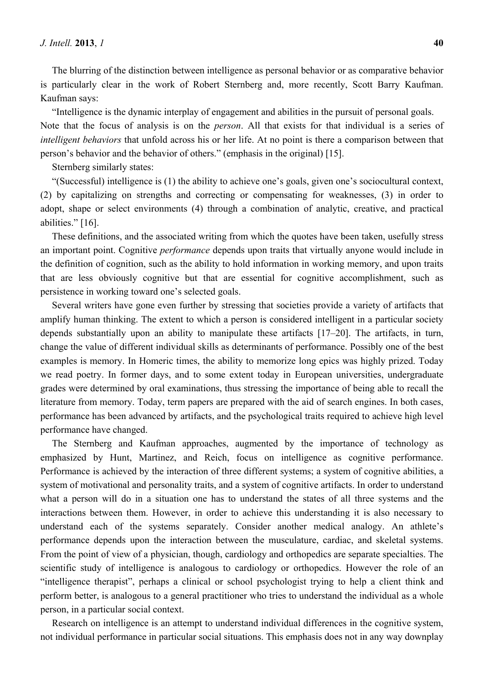The blurring of the distinction between intelligence as personal behavior or as comparative behavior is particularly clear in the work of Robert Sternberg and, more recently, Scott Barry Kaufman. Kaufman says:

"Intelligence is the dynamic interplay of engagement and abilities in the pursuit of personal goals. Note that the focus of analysis is on the *person*. All that exists for that individual is a series of *intelligent behaviors* that unfold across his or her life. At no point is there a comparison between that person's behavior and the behavior of others." (emphasis in the original) [15].

Sternberg similarly states:

"(Successful) intelligence is (1) the ability to achieve one's goals, given one's sociocultural context, (2) by capitalizing on strengths and correcting or compensating for weaknesses, (3) in order to adopt, shape or select environments (4) through a combination of analytic, creative, and practical abilities." [16].

These definitions, and the associated writing from which the quotes have been taken, usefully stress an important point. Cognitive *performance* depends upon traits that virtually anyone would include in the definition of cognition, such as the ability to hold information in working memory, and upon traits that are less obviously cognitive but that are essential for cognitive accomplishment, such as persistence in working toward one's selected goals.

Several writers have gone even further by stressing that societies provide a variety of artifacts that amplify human thinking. The extent to which a person is considered intelligent in a particular society depends substantially upon an ability to manipulate these artifacts [17–20]. The artifacts, in turn, change the value of different individual skills as determinants of performance. Possibly one of the best examples is memory. In Homeric times, the ability to memorize long epics was highly prized. Today we read poetry. In former days, and to some extent today in European universities, undergraduate grades were determined by oral examinations, thus stressing the importance of being able to recall the literature from memory. Today, term papers are prepared with the aid of search engines. In both cases, performance has been advanced by artifacts, and the psychological traits required to achieve high level performance have changed.

The Sternberg and Kaufman approaches, augmented by the importance of technology as emphasized by Hunt, Martinez, and Reich, focus on intelligence as cognitive performance. Performance is achieved by the interaction of three different systems; a system of cognitive abilities, a system of motivational and personality traits, and a system of cognitive artifacts. In order to understand what a person will do in a situation one has to understand the states of all three systems and the interactions between them. However, in order to achieve this understanding it is also necessary to understand each of the systems separately. Consider another medical analogy. An athlete's performance depends upon the interaction between the musculature, cardiac, and skeletal systems. From the point of view of a physician, though, cardiology and orthopedics are separate specialties. The scientific study of intelligence is analogous to cardiology or orthopedics. However the role of an "intelligence therapist", perhaps a clinical or school psychologist trying to help a client think and perform better, is analogous to a general practitioner who tries to understand the individual as a whole person, in a particular social context.

Research on intelligence is an attempt to understand individual differences in the cognitive system, not individual performance in particular social situations. This emphasis does not in any way downplay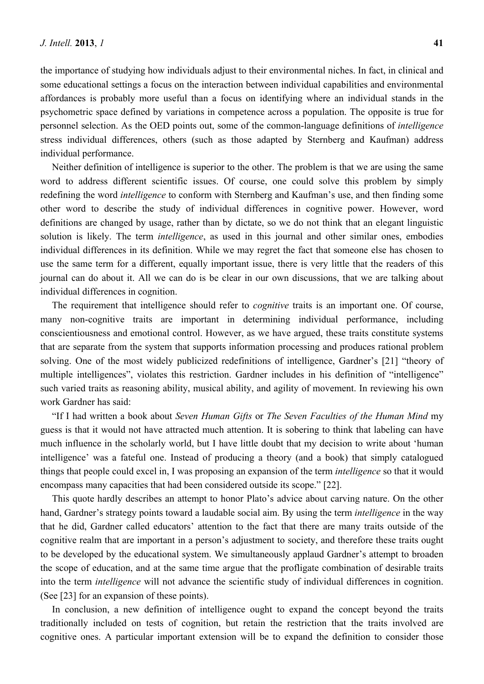some educational settings a focus on the interaction between individual capabilities and environmental affordances is probably more useful than a focus on identifying where an individual stands in the psychometric space defined by variations in competence across a population. The opposite is true for personnel selection. As the OED points out, some of the common-language definitions of *intelligence* stress individual differences, others (such as those adapted by Sternberg and Kaufman) address individual performance.

Neither definition of intelligence is superior to the other. The problem is that we are using the same word to address different scientific issues. Of course, one could solve this problem by simply redefining the word *intelligence* to conform with Sternberg and Kaufman's use, and then finding some other word to describe the study of individual differences in cognitive power. However, word definitions are changed by usage, rather than by dictate, so we do not think that an elegant linguistic solution is likely. The term *intelligence*, as used in this journal and other similar ones, embodies individual differences in its definition. While we may regret the fact that someone else has chosen to use the same term for a different, equally important issue, there is very little that the readers of this journal can do about it. All we can do is be clear in our own discussions, that we are talking about individual differences in cognition.

The requirement that intelligence should refer to *cognitive* traits is an important one. Of course, many non-cognitive traits are important in determining individual performance, including conscientiousness and emotional control. However, as we have argued, these traits constitute systems that are separate from the system that supports information processing and produces rational problem solving. One of the most widely publicized redefinitions of intelligence, Gardner's [21] "theory of multiple intelligences", violates this restriction. Gardner includes in his definition of "intelligence" such varied traits as reasoning ability, musical ability, and agility of movement. In reviewing his own work Gardner has said:

"If I had written a book about *Seven Human Gifts* or *The Seven Faculties of the Human Mind* my guess is that it would not have attracted much attention. It is sobering to think that labeling can have much influence in the scholarly world, but I have little doubt that my decision to write about 'human intelligence' was a fateful one. Instead of producing a theory (and a book) that simply catalogued things that people could excel in, I was proposing an expansion of the term *intelligence* so that it would encompass many capacities that had been considered outside its scope." [22].

This quote hardly describes an attempt to honor Plato's advice about carving nature. On the other hand, Gardner's strategy points toward a laudable social aim. By using the term *intelligence* in the way that he did, Gardner called educators' attention to the fact that there are many traits outside of the cognitive realm that are important in a person's adjustment to society, and therefore these traits ought to be developed by the educational system. We simultaneously applaud Gardner's attempt to broaden the scope of education, and at the same time argue that the profligate combination of desirable traits into the term *intelligence* will not advance the scientific study of individual differences in cognition. (See [23] for an expansion of these points).

In conclusion, a new definition of intelligence ought to expand the concept beyond the traits traditionally included on tests of cognition, but retain the restriction that the traits involved are cognitive ones. A particular important extension will be to expand the definition to consider those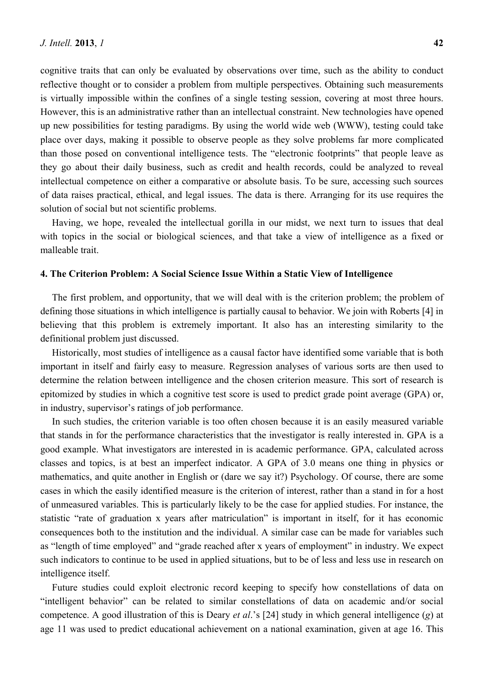cognitive traits that can only be evaluated by observations over time, such as the ability to conduct reflective thought or to consider a problem from multiple perspectives. Obtaining such measurements is virtually impossible within the confines of a single testing session, covering at most three hours. However, this is an administrative rather than an intellectual constraint. New technologies have opened up new possibilities for testing paradigms. By using the world wide web (WWW), testing could take place over days, making it possible to observe people as they solve problems far more complicated than those posed on conventional intelligence tests. The "electronic footprints" that people leave as they go about their daily business, such as credit and health records, could be analyzed to reveal intellectual competence on either a comparative or absolute basis. To be sure, accessing such sources of data raises practical, ethical, and legal issues. The data is there. Arranging for its use requires the solution of social but not scientific problems.

Having, we hope, revealed the intellectual gorilla in our midst, we next turn to issues that deal with topics in the social or biological sciences, and that take a view of intelligence as a fixed or malleable trait.

#### **4. The Criterion Problem: A Social Science Issue Within a Static View of Intelligence**

The first problem, and opportunity, that we will deal with is the criterion problem; the problem of defining those situations in which intelligence is partially causal to behavior. We join with Roberts [4] in believing that this problem is extremely important. It also has an interesting similarity to the definitional problem just discussed.

Historically, most studies of intelligence as a causal factor have identified some variable that is both important in itself and fairly easy to measure. Regression analyses of various sorts are then used to determine the relation between intelligence and the chosen criterion measure. This sort of research is epitomized by studies in which a cognitive test score is used to predict grade point average (GPA) or, in industry, supervisor's ratings of job performance.

In such studies, the criterion variable is too often chosen because it is an easily measured variable that stands in for the performance characteristics that the investigator is really interested in. GPA is a good example. What investigators are interested in is academic performance. GPA, calculated across classes and topics, is at best an imperfect indicator. A GPA of 3.0 means one thing in physics or mathematics, and quite another in English or (dare we say it?) Psychology. Of course, there are some cases in which the easily identified measure is the criterion of interest, rather than a stand in for a host of unmeasured variables. This is particularly likely to be the case for applied studies. For instance, the statistic "rate of graduation x years after matriculation" is important in itself, for it has economic consequences both to the institution and the individual. A similar case can be made for variables such as "length of time employed" and "grade reached after x years of employment" in industry. We expect such indicators to continue to be used in applied situations, but to be of less and less use in research on intelligence itself.

Future studies could exploit electronic record keeping to specify how constellations of data on "intelligent behavior" can be related to similar constellations of data on academic and/or social competence. A good illustration of this is Deary *et al*.'s [24] study in which general intelligence (*g*) at age 11 was used to predict educational achievement on a national examination, given at age 16. This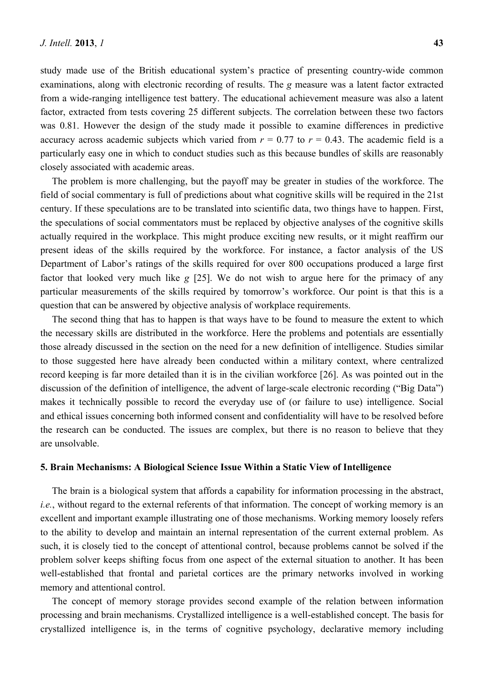study made use of the British educational system's practice of presenting country-wide common examinations, along with electronic recording of results. The *g* measure was a latent factor extracted from a wide-ranging intelligence test battery. The educational achievement measure was also a latent factor, extracted from tests covering 25 different subjects. The correlation between these two factors was 0.81. However the design of the study made it possible to examine differences in predictive accuracy across academic subjects which varied from  $r = 0.77$  to  $r = 0.43$ . The academic field is a particularly easy one in which to conduct studies such as this because bundles of skills are reasonably closely associated with academic areas.

The problem is more challenging, but the payoff may be greater in studies of the workforce. The field of social commentary is full of predictions about what cognitive skills will be required in the 21st century. If these speculations are to be translated into scientific data, two things have to happen. First, the speculations of social commentators must be replaced by objective analyses of the cognitive skills actually required in the workplace. This might produce exciting new results, or it might reaffirm our present ideas of the skills required by the workforce. For instance, a factor analysis of the US Department of Labor's ratings of the skills required for over 800 occupations produced a large first factor that looked very much like *g* [25]. We do not wish to argue here for the primacy of any particular measurements of the skills required by tomorrow's workforce. Our point is that this is a question that can be answered by objective analysis of workplace requirements.

The second thing that has to happen is that ways have to be found to measure the extent to which the necessary skills are distributed in the workforce. Here the problems and potentials are essentially those already discussed in the section on the need for a new definition of intelligence. Studies similar to those suggested here have already been conducted within a military context, where centralized record keeping is far more detailed than it is in the civilian workforce [26]. As was pointed out in the discussion of the definition of intelligence, the advent of large-scale electronic recording ("Big Data") makes it technically possible to record the everyday use of (or failure to use) intelligence. Social and ethical issues concerning both informed consent and confidentiality will have to be resolved before the research can be conducted. The issues are complex, but there is no reason to believe that they are unsolvable.

### **5. Brain Mechanisms: A Biological Science Issue Within a Static View of Intelligence**

The brain is a biological system that affords a capability for information processing in the abstract, *i.e.*, without regard to the external referents of that information. The concept of working memory is an excellent and important example illustrating one of those mechanisms. Working memory loosely refers to the ability to develop and maintain an internal representation of the current external problem. As such, it is closely tied to the concept of attentional control, because problems cannot be solved if the problem solver keeps shifting focus from one aspect of the external situation to another. It has been well-established that frontal and parietal cortices are the primary networks involved in working memory and attentional control.

The concept of memory storage provides second example of the relation between information processing and brain mechanisms. Crystallized intelligence is a well-established concept. The basis for crystallized intelligence is, in the terms of cognitive psychology, declarative memory including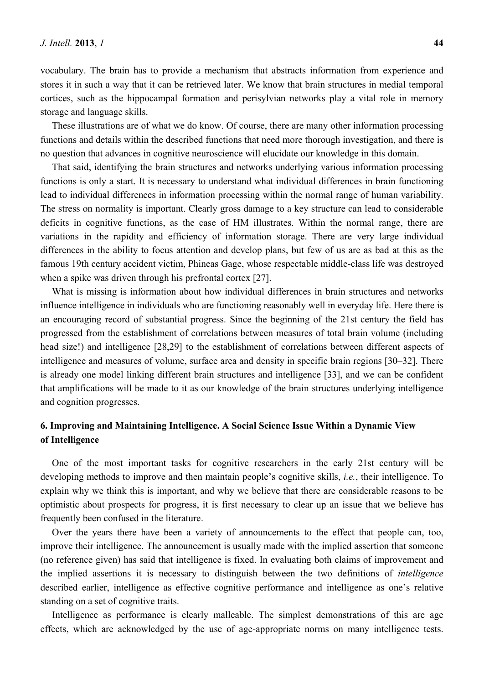vocabulary. The brain has to provide a mechanism that abstracts information from experience and stores it in such a way that it can be retrieved later. We know that brain structures in medial temporal cortices, such as the hippocampal formation and perisylvian networks play a vital role in memory storage and language skills.

These illustrations are of what we do know. Of course, there are many other information processing functions and details within the described functions that need more thorough investigation, and there is no question that advances in cognitive neuroscience will elucidate our knowledge in this domain.

That said, identifying the brain structures and networks underlying various information processing functions is only a start. It is necessary to understand what individual differences in brain functioning lead to individual differences in information processing within the normal range of human variability. The stress on normality is important. Clearly gross damage to a key structure can lead to considerable deficits in cognitive functions, as the case of HM illustrates. Within the normal range, there are variations in the rapidity and efficiency of information storage. There are very large individual differences in the ability to focus attention and develop plans, but few of us are as bad at this as the famous 19th century accident victim, Phineas Gage, whose respectable middle-class life was destroyed when a spike was driven through his prefrontal cortex [27].

What is missing is information about how individual differences in brain structures and networks influence intelligence in individuals who are functioning reasonably well in everyday life. Here there is an encouraging record of substantial progress. Since the beginning of the 21st century the field has progressed from the establishment of correlations between measures of total brain volume (including head size!) and intelligence [28,29] to the establishment of correlations between different aspects of intelligence and measures of volume, surface area and density in specific brain regions [30–32]. There is already one model linking different brain structures and intelligence [33], and we can be confident that amplifications will be made to it as our knowledge of the brain structures underlying intelligence and cognition progresses.

# **6. Improving and Maintaining Intelligence. A Social Science Issue Within a Dynamic View of Intelligence**

One of the most important tasks for cognitive researchers in the early 21st century will be developing methods to improve and then maintain people's cognitive skills, *i.e.*, their intelligence. To explain why we think this is important, and why we believe that there are considerable reasons to be optimistic about prospects for progress, it is first necessary to clear up an issue that we believe has frequently been confused in the literature.

Over the years there have been a variety of announcements to the effect that people can, too, improve their intelligence. The announcement is usually made with the implied assertion that someone (no reference given) has said that intelligence is fixed. In evaluating both claims of improvement and the implied assertions it is necessary to distinguish between the two definitions of *intelligence* described earlier, intelligence as effective cognitive performance and intelligence as one's relative standing on a set of cognitive traits.

Intelligence as performance is clearly malleable. The simplest demonstrations of this are age effects, which are acknowledged by the use of age-appropriate norms on many intelligence tests.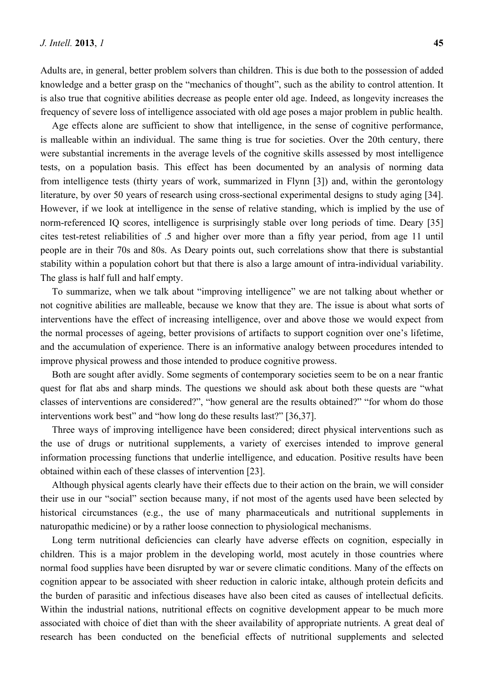Adults are, in general, better problem solvers than children. This is due both to the possession of added knowledge and a better grasp on the "mechanics of thought", such as the ability to control attention. It is also true that cognitive abilities decrease as people enter old age. Indeed, as longevity increases the frequency of severe loss of intelligence associated with old age poses a major problem in public health.

Age effects alone are sufficient to show that intelligence, in the sense of cognitive performance, is malleable within an individual. The same thing is true for societies. Over the 20th century, there were substantial increments in the average levels of the cognitive skills assessed by most intelligence tests, on a population basis. This effect has been documented by an analysis of norming data from intelligence tests (thirty years of work, summarized in Flynn [3]) and, within the gerontology literature, by over 50 years of research using cross-sectional experimental designs to study aging [34]. However, if we look at intelligence in the sense of relative standing, which is implied by the use of norm-referenced IQ scores, intelligence is surprisingly stable over long periods of time. Deary [35] cites test-retest reliabilities of .5 and higher over more than a fifty year period, from age 11 until people are in their 70s and 80s. As Deary points out, such correlations show that there is substantial stability within a population cohort but that there is also a large amount of intra-individual variability. The glass is half full and half empty.

To summarize, when we talk about "improving intelligence" we are not talking about whether or not cognitive abilities are malleable, because we know that they are. The issue is about what sorts of interventions have the effect of increasing intelligence, over and above those we would expect from the normal processes of ageing, better provisions of artifacts to support cognition over one's lifetime, and the accumulation of experience. There is an informative analogy between procedures intended to improve physical prowess and those intended to produce cognitive prowess.

Both are sought after avidly. Some segments of contemporary societies seem to be on a near frantic quest for flat abs and sharp minds. The questions we should ask about both these quests are "what classes of interventions are considered?", "how general are the results obtained?" "for whom do those interventions work best" and "how long do these results last?" [36,37].

Three ways of improving intelligence have been considered; direct physical interventions such as the use of drugs or nutritional supplements, a variety of exercises intended to improve general information processing functions that underlie intelligence, and education. Positive results have been obtained within each of these classes of intervention [23].

Although physical agents clearly have their effects due to their action on the brain, we will consider their use in our "social" section because many, if not most of the agents used have been selected by historical circumstances (e.g., the use of many pharmaceuticals and nutritional supplements in naturopathic medicine) or by a rather loose connection to physiological mechanisms.

Long term nutritional deficiencies can clearly have adverse effects on cognition, especially in children. This is a major problem in the developing world, most acutely in those countries where normal food supplies have been disrupted by war or severe climatic conditions. Many of the effects on cognition appear to be associated with sheer reduction in caloric intake, although protein deficits and the burden of parasitic and infectious diseases have also been cited as causes of intellectual deficits. Within the industrial nations, nutritional effects on cognitive development appear to be much more associated with choice of diet than with the sheer availability of appropriate nutrients. A great deal of research has been conducted on the beneficial effects of nutritional supplements and selected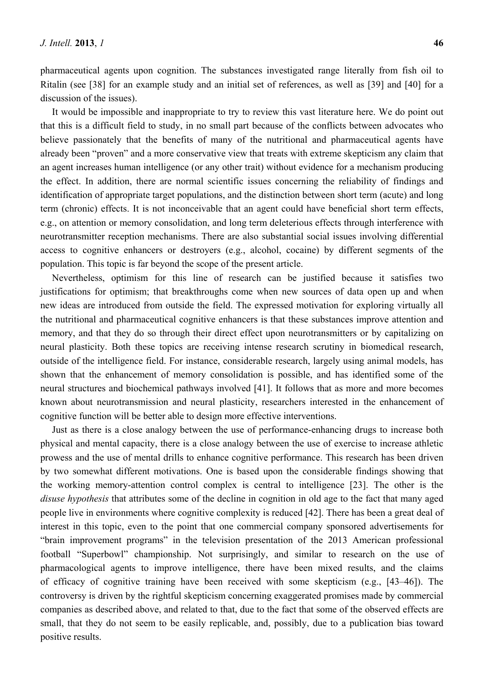pharmaceutical agents upon cognition. The substances investigated range literally from fish oil to Ritalin (see [38] for an example study and an initial set of references, as well as [39] and [40] for a discussion of the issues).

It would be impossible and inappropriate to try to review this vast literature here. We do point out that this is a difficult field to study, in no small part because of the conflicts between advocates who believe passionately that the benefits of many of the nutritional and pharmaceutical agents have already been "proven" and a more conservative view that treats with extreme skepticism any claim that an agent increases human intelligence (or any other trait) without evidence for a mechanism producing the effect. In addition, there are normal scientific issues concerning the reliability of findings and identification of appropriate target populations, and the distinction between short term (acute) and long term (chronic) effects. It is not inconceivable that an agent could have beneficial short term effects, e.g., on attention or memory consolidation, and long term deleterious effects through interference with neurotransmitter reception mechanisms. There are also substantial social issues involving differential access to cognitive enhancers or destroyers (e.g., alcohol, cocaine) by different segments of the population. This topic is far beyond the scope of the present article.

Nevertheless, optimism for this line of research can be justified because it satisfies two justifications for optimism; that breakthroughs come when new sources of data open up and when new ideas are introduced from outside the field. The expressed motivation for exploring virtually all the nutritional and pharmaceutical cognitive enhancers is that these substances improve attention and memory, and that they do so through their direct effect upon neurotransmitters or by capitalizing on neural plasticity. Both these topics are receiving intense research scrutiny in biomedical research, outside of the intelligence field. For instance, considerable research, largely using animal models, has shown that the enhancement of memory consolidation is possible, and has identified some of the neural structures and biochemical pathways involved [41]. It follows that as more and more becomes known about neurotransmission and neural plasticity, researchers interested in the enhancement of cognitive function will be better able to design more effective interventions.

Just as there is a close analogy between the use of performance-enhancing drugs to increase both physical and mental capacity, there is a close analogy between the use of exercise to increase athletic prowess and the use of mental drills to enhance cognitive performance. This research has been driven by two somewhat different motivations. One is based upon the considerable findings showing that the working memory-attention control complex is central to intelligence [23]. The other is the *disuse hypothesis* that attributes some of the decline in cognition in old age to the fact that many aged people live in environments where cognitive complexity is reduced [42]. There has been a great deal of interest in this topic, even to the point that one commercial company sponsored advertisements for "brain improvement programs" in the television presentation of the 2013 American professional football "Superbowl" championship. Not surprisingly, and similar to research on the use of pharmacological agents to improve intelligence, there have been mixed results, and the claims of efficacy of cognitive training have been received with some skepticism (e.g., [43–46]). The controversy is driven by the rightful skepticism concerning exaggerated promises made by commercial companies as described above, and related to that, due to the fact that some of the observed effects are small, that they do not seem to be easily replicable, and, possibly, due to a publication bias toward positive results.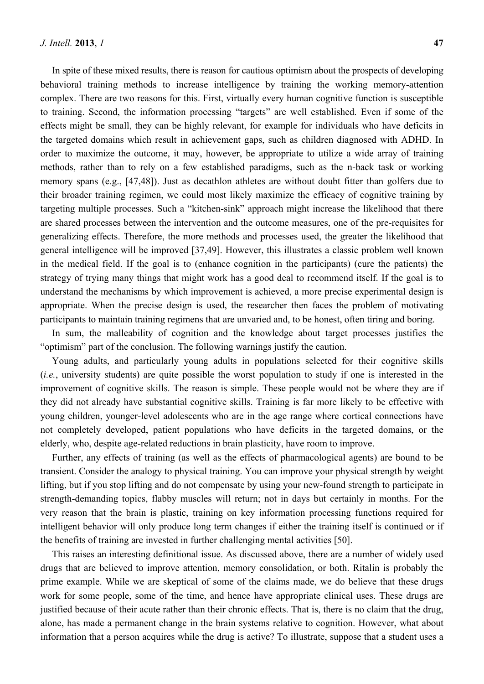In spite of these mixed results, there is reason for cautious optimism about the prospects of developing behavioral training methods to increase intelligence by training the working memory-attention complex. There are two reasons for this. First, virtually every human cognitive function is susceptible to training. Second, the information processing "targets" are well established. Even if some of the effects might be small, they can be highly relevant, for example for individuals who have deficits in the targeted domains which result in achievement gaps, such as children diagnosed with ADHD. In order to maximize the outcome, it may, however, be appropriate to utilize a wide array of training methods, rather than to rely on a few established paradigms, such as the n-back task or working memory spans (e.g., [47,48]). Just as decathlon athletes are without doubt fitter than golfers due to their broader training regimen, we could most likely maximize the efficacy of cognitive training by targeting multiple processes. Such a "kitchen-sink" approach might increase the likelihood that there are shared processes between the intervention and the outcome measures, one of the pre-requisites for generalizing effects. Therefore, the more methods and processes used, the greater the likelihood that general intelligence will be improved [37,49]. However, this illustrates a classic problem well known in the medical field. If the goal is to (enhance cognition in the participants) (cure the patients) the strategy of trying many things that might work has a good deal to recommend itself. If the goal is to understand the mechanisms by which improvement is achieved, a more precise experimental design is appropriate. When the precise design is used, the researcher then faces the problem of motivating participants to maintain training regimens that are unvaried and, to be honest, often tiring and boring.

In sum, the malleability of cognition and the knowledge about target processes justifies the "optimism" part of the conclusion. The following warnings justify the caution.

Young adults, and particularly young adults in populations selected for their cognitive skills (*i.e.*, university students) are quite possible the worst population to study if one is interested in the improvement of cognitive skills. The reason is simple. These people would not be where they are if they did not already have substantial cognitive skills. Training is far more likely to be effective with young children, younger-level adolescents who are in the age range where cortical connections have not completely developed, patient populations who have deficits in the targeted domains, or the elderly, who, despite age-related reductions in brain plasticity, have room to improve.

Further, any effects of training (as well as the effects of pharmacological agents) are bound to be transient. Consider the analogy to physical training. You can improve your physical strength by weight lifting, but if you stop lifting and do not compensate by using your new-found strength to participate in strength-demanding topics, flabby muscles will return; not in days but certainly in months. For the very reason that the brain is plastic, training on key information processing functions required for intelligent behavior will only produce long term changes if either the training itself is continued or if the benefits of training are invested in further challenging mental activities [50].

This raises an interesting definitional issue. As discussed above, there are a number of widely used drugs that are believed to improve attention, memory consolidation, or both. Ritalin is probably the prime example. While we are skeptical of some of the claims made, we do believe that these drugs work for some people, some of the time, and hence have appropriate clinical uses. These drugs are justified because of their acute rather than their chronic effects. That is, there is no claim that the drug, alone, has made a permanent change in the brain systems relative to cognition. However, what about information that a person acquires while the drug is active? To illustrate, suppose that a student uses a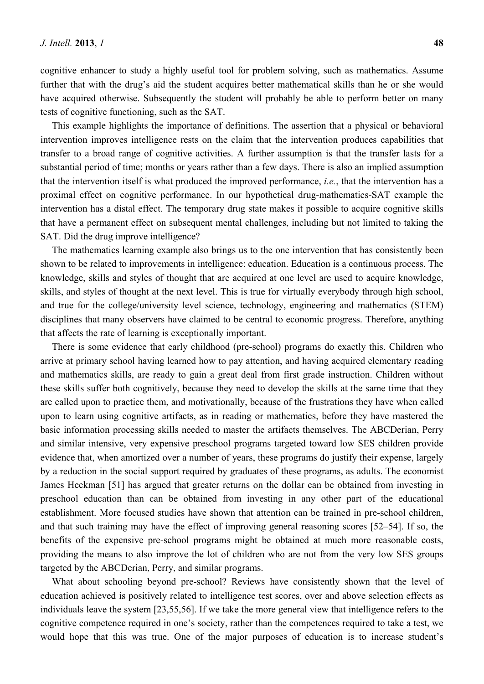cognitive enhancer to study a highly useful tool for problem solving, such as mathematics. Assume further that with the drug's aid the student acquires better mathematical skills than he or she would have acquired otherwise. Subsequently the student will probably be able to perform better on many tests of cognitive functioning, such as the SAT.

This example highlights the importance of definitions. The assertion that a physical or behavioral intervention improves intelligence rests on the claim that the intervention produces capabilities that transfer to a broad range of cognitive activities. A further assumption is that the transfer lasts for a substantial period of time; months or years rather than a few days. There is also an implied assumption that the intervention itself is what produced the improved performance, *i.e.*, that the intervention has a proximal effect on cognitive performance. In our hypothetical drug-mathematics-SAT example the intervention has a distal effect. The temporary drug state makes it possible to acquire cognitive skills that have a permanent effect on subsequent mental challenges, including but not limited to taking the SAT. Did the drug improve intelligence?

The mathematics learning example also brings us to the one intervention that has consistently been shown to be related to improvements in intelligence: education. Education is a continuous process. The knowledge, skills and styles of thought that are acquired at one level are used to acquire knowledge, skills, and styles of thought at the next level. This is true for virtually everybody through high school, and true for the college/university level science, technology, engineering and mathematics (STEM) disciplines that many observers have claimed to be central to economic progress. Therefore, anything that affects the rate of learning is exceptionally important.

There is some evidence that early childhood (pre-school) programs do exactly this. Children who arrive at primary school having learned how to pay attention, and having acquired elementary reading and mathematics skills, are ready to gain a great deal from first grade instruction. Children without these skills suffer both cognitively, because they need to develop the skills at the same time that they are called upon to practice them, and motivationally, because of the frustrations they have when called upon to learn using cognitive artifacts, as in reading or mathematics, before they have mastered the basic information processing skills needed to master the artifacts themselves. The ABCDerian, Perry and similar intensive, very expensive preschool programs targeted toward low SES children provide evidence that, when amortized over a number of years, these programs do justify their expense, largely by a reduction in the social support required by graduates of these programs, as adults. The economist James Heckman [51] has argued that greater returns on the dollar can be obtained from investing in preschool education than can be obtained from investing in any other part of the educational establishment. More focused studies have shown that attention can be trained in pre-school children, and that such training may have the effect of improving general reasoning scores [52–54]. If so, the benefits of the expensive pre-school programs might be obtained at much more reasonable costs, providing the means to also improve the lot of children who are not from the very low SES groups targeted by the ABCDerian, Perry, and similar programs.

What about schooling beyond pre-school? Reviews have consistently shown that the level of education achieved is positively related to intelligence test scores, over and above selection effects as individuals leave the system [23,55,56]. If we take the more general view that intelligence refers to the cognitive competence required in one's society, rather than the competences required to take a test, we would hope that this was true. One of the major purposes of education is to increase student's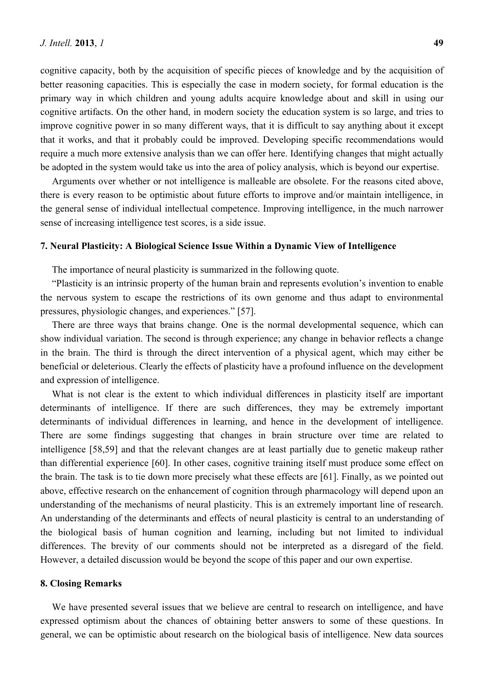cognitive capacity, both by the acquisition of specific pieces of knowledge and by the acquisition of better reasoning capacities. This is especially the case in modern society, for formal education is the primary way in which children and young adults acquire knowledge about and skill in using our cognitive artifacts. On the other hand, in modern society the education system is so large, and tries to improve cognitive power in so many different ways, that it is difficult to say anything about it except that it works, and that it probably could be improved. Developing specific recommendations would require a much more extensive analysis than we can offer here. Identifying changes that might actually be adopted in the system would take us into the area of policy analysis, which is beyond our expertise.

Arguments over whether or not intelligence is malleable are obsolete. For the reasons cited above, there is every reason to be optimistic about future efforts to improve and/or maintain intelligence, in the general sense of individual intellectual competence. Improving intelligence, in the much narrower sense of increasing intelligence test scores, is a side issue.

#### **7. Neural Plasticity: A Biological Science Issue Within a Dynamic View of Intelligence**

The importance of neural plasticity is summarized in the following quote.

"Plasticity is an intrinsic property of the human brain and represents evolution's invention to enable the nervous system to escape the restrictions of its own genome and thus adapt to environmental pressures, physiologic changes, and experiences." [57].

There are three ways that brains change. One is the normal developmental sequence, which can show individual variation. The second is through experience; any change in behavior reflects a change in the brain. The third is through the direct intervention of a physical agent, which may either be beneficial or deleterious. Clearly the effects of plasticity have a profound influence on the development and expression of intelligence.

What is not clear is the extent to which individual differences in plasticity itself are important determinants of intelligence. If there are such differences, they may be extremely important determinants of individual differences in learning, and hence in the development of intelligence. There are some findings suggesting that changes in brain structure over time are related to intelligence [58,59] and that the relevant changes are at least partially due to genetic makeup rather than differential experience [60]. In other cases, cognitive training itself must produce some effect on the brain. The task is to tie down more precisely what these effects are [61]. Finally, as we pointed out above, effective research on the enhancement of cognition through pharmacology will depend upon an understanding of the mechanisms of neural plasticity. This is an extremely important line of research. An understanding of the determinants and effects of neural plasticity is central to an understanding of the biological basis of human cognition and learning, including but not limited to individual differences. The brevity of our comments should not be interpreted as a disregard of the field. However, a detailed discussion would be beyond the scope of this paper and our own expertise.

#### **8. Closing Remarks**

We have presented several issues that we believe are central to research on intelligence, and have expressed optimism about the chances of obtaining better answers to some of these questions. In general, we can be optimistic about research on the biological basis of intelligence. New data sources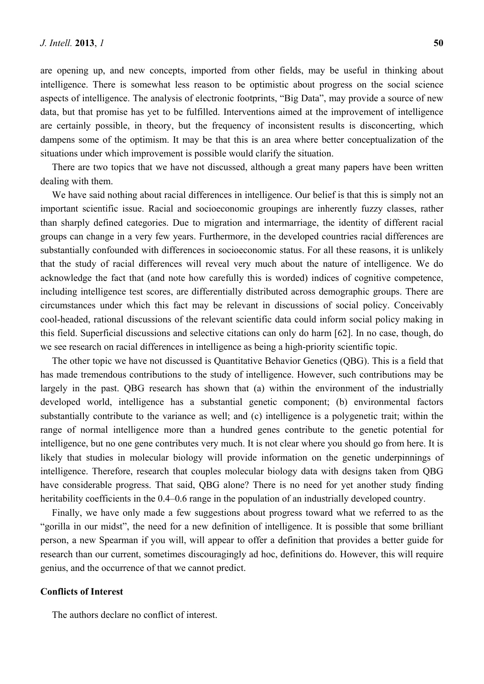are opening up, and new concepts, imported from other fields, may be useful in thinking about intelligence. There is somewhat less reason to be optimistic about progress on the social science aspects of intelligence. The analysis of electronic footprints, "Big Data", may provide a source of new data, but that promise has yet to be fulfilled. Interventions aimed at the improvement of intelligence are certainly possible, in theory, but the frequency of inconsistent results is disconcerting, which dampens some of the optimism. It may be that this is an area where better conceptualization of the situations under which improvement is possible would clarify the situation.

There are two topics that we have not discussed, although a great many papers have been written dealing with them.

We have said nothing about racial differences in intelligence. Our belief is that this is simply not an important scientific issue. Racial and socioeconomic groupings are inherently fuzzy classes, rather than sharply defined categories. Due to migration and intermarriage, the identity of different racial groups can change in a very few years. Furthermore, in the developed countries racial differences are substantially confounded with differences in socioeconomic status. For all these reasons, it is unlikely that the study of racial differences will reveal very much about the nature of intelligence. We do acknowledge the fact that (and note how carefully this is worded) indices of cognitive competence, including intelligence test scores, are differentially distributed across demographic groups. There are circumstances under which this fact may be relevant in discussions of social policy. Conceivably cool-headed, rational discussions of the relevant scientific data could inform social policy making in this field. Superficial discussions and selective citations can only do harm [62]. In no case, though, do we see research on racial differences in intelligence as being a high-priority scientific topic.

The other topic we have not discussed is Quantitative Behavior Genetics (QBG). This is a field that has made tremendous contributions to the study of intelligence. However, such contributions may be largely in the past. QBG research has shown that (a) within the environment of the industrially developed world, intelligence has a substantial genetic component; (b) environmental factors substantially contribute to the variance as well; and (c) intelligence is a polygenetic trait; within the range of normal intelligence more than a hundred genes contribute to the genetic potential for intelligence, but no one gene contributes very much. It is not clear where you should go from here. It is likely that studies in molecular biology will provide information on the genetic underpinnings of intelligence. Therefore, research that couples molecular biology data with designs taken from QBG have considerable progress. That said, QBG alone? There is no need for yet another study finding heritability coefficients in the 0.4–0.6 range in the population of an industrially developed country.

Finally, we have only made a few suggestions about progress toward what we referred to as the "gorilla in our midst", the need for a new definition of intelligence. It is possible that some brilliant person, a new Spearman if you will, will appear to offer a definition that provides a better guide for research than our current, sometimes discouragingly ad hoc, definitions do. However, this will require genius, and the occurrence of that we cannot predict.

### **Conflicts of Interest**

The authors declare no conflict of interest.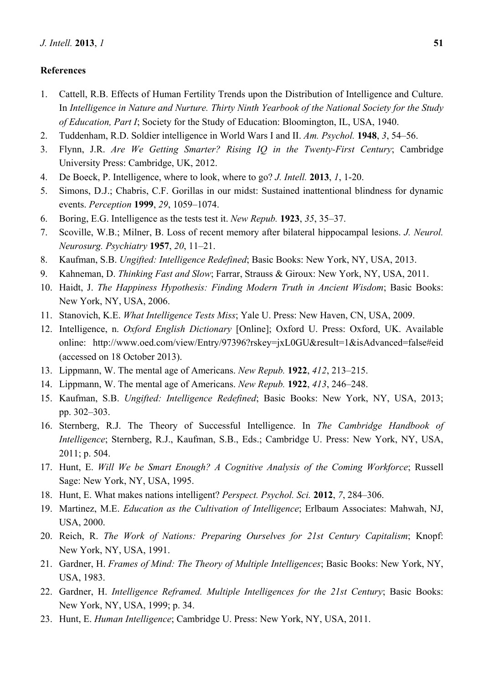# **References**

- 1. Cattell, R.B. Effects of Human Fertility Trends upon the Distribution of Intelligence and Culture. In *Intelligence in Nature and Nurture. Thirty Ninth Yearbook of the National Society for the Study of Education, Part I*; Society for the Study of Education: Bloomington, IL, USA, 1940.
- 2. Tuddenham, R.D. Soldier intelligence in World Wars I and II. *Am. Psychol.* **1948**, *3*, 54–56.
- 3. Flynn, J.R. *Are We Getting Smarter? Rising IQ in the Twenty-First Century*; Cambridge University Press: Cambridge, UK, 2012.
- 4. De Boeck, P. Intelligence, where to look, where to go? *J. Intell.* **2013**, *1*, 1-20.
- 5. Simons, D.J.; Chabris, C.F. Gorillas in our midst: Sustained inattentional blindness for dynamic events. *Perception* **1999**, *29*, 1059–1074.
- 6. Boring, E.G. Intelligence as the tests test it. *New Repub.* **1923**, *35*, 35–37.
- 7. Scoville, W.B.; Milner, B. Loss of recent memory after bilateral hippocampal lesions. *J. Neurol. Neurosurg. Psychiatry* **1957**, *20*, 11–21.
- 8. Kaufman, S.B. *Ungifted: Intelligence Redefined*; Basic Books: New York, NY, USA, 2013.
- 9. Kahneman, D. *Thinking Fast and Slow*; Farrar, Strauss & Giroux: New York, NY, USA, 2011.
- 10. Haidt, J. *The Happiness Hypothesis: Finding Modern Truth in Ancient Wisdom*; Basic Books: New York, NY, USA, 2006.
- 11. Stanovich, K.E. *What Intelligence Tests Miss*; Yale U. Press: New Haven, CN, USA, 2009.
- 12. Intelligence, n. *Oxford English Dictionary* [Online]; Oxford U. Press: Oxford, UK. Available online: http://www.oed.com/view/Entry/97396?rskey=jxL0GU&result=1&isAdvanced=false#eid (accessed on 18 October 2013).
- 13. Lippmann, W. The mental age of Americans. *New Repub.* **1922**, *412*, 213–215.
- 14. Lippmann, W. The mental age of Americans. *New Repub.* **1922**, *413*, 246–248.
- 15. Kaufman, S.B. *Ungifted: Intelligence Redefined*; Basic Books: New York, NY, USA, 2013; pp. 302–303.
- 16. Sternberg, R.J. The Theory of Successful Intelligence. In *The Cambridge Handbook of Intelligence*; Sternberg, R.J., Kaufman, S.B., Eds.; Cambridge U. Press: New York, NY, USA, 2011; p. 504.
- 17. Hunt, E. *Will We be Smart Enough? A Cognitive Analysis of the Coming Workforce*; Russell Sage: New York, NY, USA, 1995.
- 18. Hunt, E. What makes nations intelligent? *Perspect. Psychol. Sci.* **2012**, *7*, 284–306.
- 19. Martinez, M.E. *Education as the Cultivation of Intelligence*; Erlbaum Associates: Mahwah, NJ, USA, 2000.
- 20. Reich, R. *The Work of Nations: Preparing Ourselves for 21st Century Capitalism*; Knopf: New York, NY, USA, 1991.
- 21. Gardner, H. *Frames of Mind: The Theory of Multiple Intelligences*; Basic Books: New York, NY, USA, 1983.
- 22. Gardner, H. *Intelligence Reframed. Multiple Intelligences for the 21st Century*; Basic Books: New York, NY, USA, 1999; p. 34.
- 23. Hunt, E. *Human Intelligence*; Cambridge U. Press: New York, NY, USA, 2011.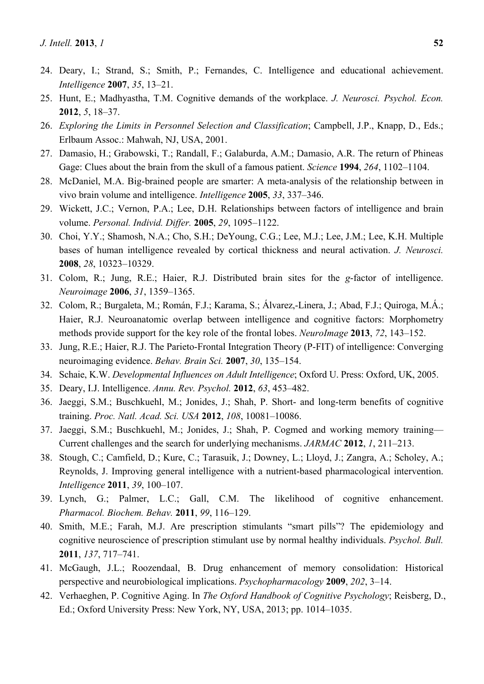- 24. Deary, I.; Strand, S.; Smith, P.; Fernandes, C. Intelligence and educational achievement. *Intelligence* **2007**, *35*, 13–21.
- 25. Hunt, E.; Madhyastha, T.M. Cognitive demands of the workplace. *J. Neurosci. Psychol. Econ.* **2012**, *5*, 18–37.
- 26. *Exploring the Limits in Personnel Selection and Classification*; Campbell, J.P., Knapp, D., Eds.; Erlbaum Assoc.: Mahwah, NJ, USA, 2001.
- 27. Damasio, H.; Grabowski, T.; Randall, F.; Galaburda, A.M.; Damasio, A.R. The return of Phineas Gage: Clues about the brain from the skull of a famous patient. *Science* **1994**, *264*, 1102–1104.
- 28. McDaniel, M.A. Big-brained people are smarter: A meta-analysis of the relationship between in vivo brain volume and intelligence. *Intelligence* **2005**, *33*, 337–346.
- 29. Wickett, J.C.; Vernon, P.A.; Lee, D.H. Relationships between factors of intelligence and brain volume. *Personal. Individ. Differ.* **2005**, *29*, 1095–1122.
- 30. Choi, Y.Y.; Shamosh, N.A.; Cho, S.H.; DeYoung, C.G.; Lee, M.J.; Lee, J.M.; Lee, K.H. Multiple bases of human intelligence revealed by cortical thickness and neural activation. *J. Neurosci.* **2008**, *28*, 10323–10329.
- 31. Colom, R.; Jung, R.E.; Haier, R.J. Distributed brain sites for the *g*-factor of intelligence. *Neuroimage* **2006**, *31*, 1359–1365.
- 32. Colom, R.; Burgaleta, M.; Román, F.J.; Karama, S.; Álvarez,-Linera, J.; Abad, F.J.; Quiroga, M.Á.; Haier, R.J. Neuroanatomic overlap between intelligence and cognitive factors: Morphometry methods provide support for the key role of the frontal lobes. *NeuroImage* **2013**, *72*, 143–152.
- 33. Jung, R.E.; Haier, R.J. The Parieto-Frontal Integration Theory (P-FIT) of intelligence: Converging neuroimaging evidence. *Behav. Brain Sci.* **2007**, *30*, 135–154.
- 34. Schaie, K.W. *Developmental Influences on Adult Intelligence*; Oxford U. Press: Oxford, UK, 2005.
- 35. Deary, I.J. Intelligence. *Annu. Rev. Psychol.* **2012**, *63*, 453–482.
- 36. Jaeggi, S.M.; Buschkuehl, M.; Jonides, J.; Shah, P. Short- and long-term benefits of cognitive training. *Proc. Natl. Acad. Sci. USA* **2012**, *108*, 10081–10086.
- 37. Jaeggi, S.M.; Buschkuehl, M.; Jonides, J.; Shah, P. Cogmed and working memory training— Current challenges and the search for underlying mechanisms. *JARMAC* **2012**, *1*, 211–213.
- 38. Stough, C.; Camfield, D.; Kure, C.; Tarasuik, J.; Downey, L.; Lloyd, J.; Zangra, A.; Scholey, A.; Reynolds, J. Improving general intelligence with a nutrient-based pharmacological intervention. *Intelligence* **2011**, *39*, 100–107.
- 39. Lynch, G.; Palmer, L.C.; Gall, C.M. The likelihood of cognitive enhancement. *Pharmacol. Biochem. Behav.* **2011**, *99*, 116–129.
- 40. Smith, M.E.; Farah, M.J. Are prescription stimulants "smart pills"? The epidemiology and cognitive neuroscience of prescription stimulant use by normal healthy individuals. *Psychol. Bull.* **2011**, *137*, 717–741.
- 41. McGaugh, J.L.; Roozendaal, B. Drug enhancement of memory consolidation: Historical perspective and neurobiological implications. *Psychopharmacology* **2009**, *202*, 3–14.
- 42. Verhaeghen, P. Cognitive Aging. In *The Oxford Handbook of Cognitive Psychology*; Reisberg, D., Ed.; Oxford University Press: New York, NY, USA, 2013; pp. 1014–1035.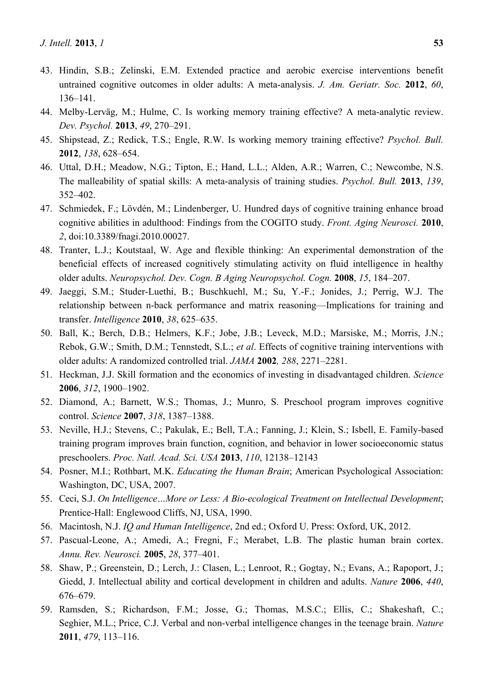- 43. Hindin, S.B.; Zelinski, E.M. Extended practice and aerobic exercise interventions benefit untrained cognitive outcomes in older adults: A meta-analysis. *J. Am. Geriatr. Soc.* **2012**, *60*, 136–141.
- 44. Melby-Lerväg, M.; Hulme, C. Is working memory training effective? A meta-analytic review. *Dev. Psychol.* **2013**, *49*, 270–291.
- 45. Shipstead, Z.; Redick, T.S.; Engle, R.W. Is working memory training effective? *Psychol. Bull.*  **2012**, *138*, 628–654.
- 46. Uttal, D.H.; Meadow, N.G.; Tipton, E.; Hand, L.L.; Alden, A.R.; Warren, C.; Newcombe, N.S. The malleability of spatial skills: A meta-analysis of training studies. *Psychol. Bull.* **2013**, *139*, 352–402.
- 47. Schmiedek, F.; Lövdén, M.; Lindenberger, U. Hundred days of cognitive training enhance broad cognitive abilities in adulthood: Findings from the COGITO study. *Front. Aging Neurosci.* **2010**, *2*, doi:10.3389/fnagi.2010.00027.
- 48. Tranter, L.J.; Koutstaal, W. Age and flexible thinking: An experimental demonstration of the beneficial effects of increased cognitively stimulating activity on fluid intelligence in healthy older adults. *Neuropsychol. Dev. Cogn. B Aging Neuropsychol. Cogn.* **2008**, *15*, 184–207.
- 49. Jaeggi, S.M.; Studer-Luethi, B.; Buschkuehl, M.; Su, Y.-F.; Jonides, J.; Perrig, W.J. The relationship between n-back performance and matrix reasoning—Implications for training and transfer. *Intelligence* **2010**, *38*, 625–635.
- 50. Ball, K.; Berch, D.B.; Helmers, K.F.; Jobe, J.B.; Leveck, M.D.; Marsiske, M.; Morris, J.N.; Rebok, G.W.; Smith, D.M.; Tennstedt, S.L.; *et al*. Effects of cognitive training interventions with older adults: A randomized controlled trial. *JAMA* **2002***, 288*, 2271–2281.
- 51. Heckman, J.J. Skill formation and the economics of investing in disadvantaged children. *Science*  **2006**, *312*, 1900–1902.
- 52. Diamond, A.; Barnett, W.S.; Thomas, J.; Munro, S. Preschool program improves cognitive control. *Science* **2007**, *318*, 1387–1388.
- 53. Neville, H.J.; Stevens, C.; Pakulak, E.; Bell, T.A.; Fanning, J.; Klein, S.; Isbell, E. Family-based training program improves brain function, cognition, and behavior in lower socioeconomic status preschoolers. *Proc. Natl. Acad. Sci. USA* **2013**, *110*, 12138–12143
- 54. Posner, M.I.; Rothbart, M.K. *Educating the Human Brain*; American Psychological Association: Washington, DC, USA, 2007.
- 55. Ceci, S.J. *On Intelligence…More or Less: A Bio-ecological Treatment on Intellectual Development*; Prentice-Hall: Englewood Cliffs, NJ, USA, 1990.
- 56. Macintosh, N.J. *IQ and Human Intelligence*, 2nd ed.; Oxford U. Press: Oxford, UK, 2012.
- 57. Pascual-Leone, A.; Amedi, A.; Fregni, F.; Merabet, L.B. The plastic human brain cortex. *Annu. Rev. Neurosci.* **2005**, *28*, 377–401.
- 58. Shaw, P.; Greenstein, D.; Lerch, J.: Clasen, L.; Lenroot, R.; Gogtay, N.; Evans, A.; Rapoport, J.; Giedd, J. Intellectual ability and cortical development in children and adults. *Nature* **2006**, *440*, 676–679.
- 59. Ramsden, S.; Richardson, F.M.; Josse, G.; Thomas, M.S.C.; Ellis, C.; Shakeshaft, C.; Seghier, M.L.; Price, C.J. Verbal and non-verbal intelligence changes in the teenage brain. *Nature* **2011**, *479*, 113–116.